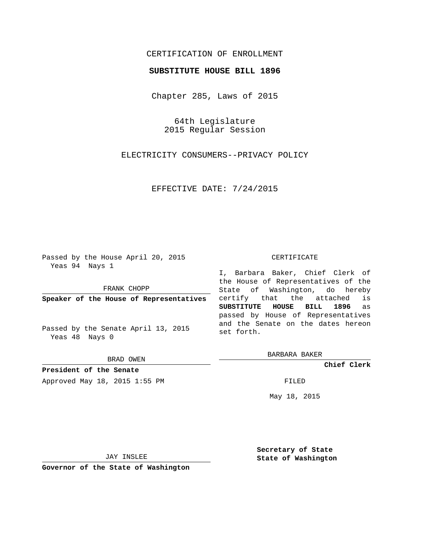# CERTIFICATION OF ENROLLMENT

## **SUBSTITUTE HOUSE BILL 1896**

Chapter 285, Laws of 2015

64th Legislature 2015 Regular Session

ELECTRICITY CONSUMERS--PRIVACY POLICY

EFFECTIVE DATE: 7/24/2015

Passed by the House April 20, 2015 Yeas 94 Nays 1

FRANK CHOPP

**Speaker of the House of Representatives**

Passed by the Senate April 13, 2015 Yeas 48 Nays 0

BRAD OWEN

**President of the Senate** Approved May 18, 2015 1:55 PM FILED

#### CERTIFICATE

I, Barbara Baker, Chief Clerk of the House of Representatives of the State of Washington, do hereby certify that the attached is **SUBSTITUTE HOUSE BILL 1896** as passed by House of Representatives and the Senate on the dates hereon set forth.

BARBARA BAKER

**Chief Clerk**

May 18, 2015

JAY INSLEE

**Governor of the State of Washington**

**Secretary of State State of Washington**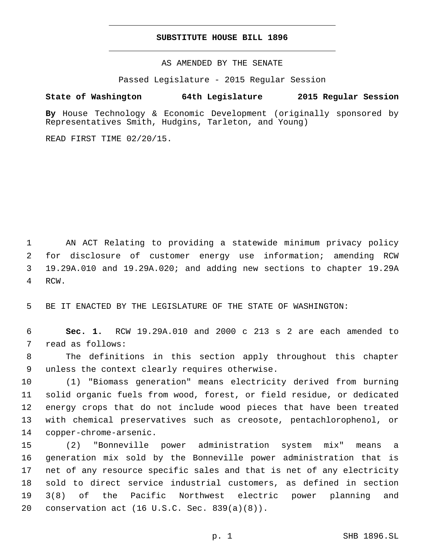## **SUBSTITUTE HOUSE BILL 1896**

AS AMENDED BY THE SENATE

Passed Legislature - 2015 Regular Session

## **State of Washington 64th Legislature 2015 Regular Session**

**By** House Technology & Economic Development (originally sponsored by Representatives Smith, Hudgins, Tarleton, and Young)

READ FIRST TIME 02/20/15.

 AN ACT Relating to providing a statewide minimum privacy policy for disclosure of customer energy use information; amending RCW 19.29A.010 and 19.29A.020; and adding new sections to chapter 19.29A 4 RCW.

5 BE IT ENACTED BY THE LEGISLATURE OF THE STATE OF WASHINGTON:

6 **Sec. 1.** RCW 19.29A.010 and 2000 c 213 s 2 are each amended to 7 read as follows:

8 The definitions in this section apply throughout this chapter 9 unless the context clearly requires otherwise.

 (1) "Biomass generation" means electricity derived from burning solid organic fuels from wood, forest, or field residue, or dedicated energy crops that do not include wood pieces that have been treated with chemical preservatives such as creosote, pentachlorophenol, or 14 copper-chrome-arsenic.

 (2) "Bonneville power administration system mix" means a generation mix sold by the Bonneville power administration that is net of any resource specific sales and that is net of any electricity sold to direct service industrial customers, as defined in section 3(8) of the Pacific Northwest electric power planning and 20 conservation act  $(16 \text{ U.S.C.} Sec. 839(a)(8))$ .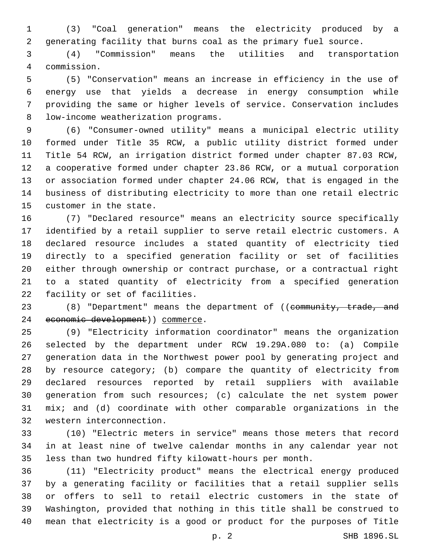(3) "Coal generation" means the electricity produced by a generating facility that burns coal as the primary fuel source.

 (4) "Commission" means the utilities and transportation commission.4

 (5) "Conservation" means an increase in efficiency in the use of energy use that yields a decrease in energy consumption while providing the same or higher levels of service. Conservation includes 8 low-income weatherization programs.

 (6) "Consumer-owned utility" means a municipal electric utility formed under Title 35 RCW, a public utility district formed under Title 54 RCW, an irrigation district formed under chapter 87.03 RCW, a cooperative formed under chapter 23.86 RCW, or a mutual corporation or association formed under chapter 24.06 RCW, that is engaged in the business of distributing electricity to more than one retail electric 15 customer in the state.

 (7) "Declared resource" means an electricity source specifically identified by a retail supplier to serve retail electric customers. A declared resource includes a stated quantity of electricity tied directly to a specified generation facility or set of facilities either through ownership or contract purchase, or a contractual right to a stated quantity of electricity from a specified generation 22 facility or set of facilities.

23 (8) "Department" means the department of ((community, trade, and 24 economic development)) commerce.

 (9) "Electricity information coordinator" means the organization selected by the department under RCW 19.29A.080 to: (a) Compile generation data in the Northwest power pool by generating project and by resource category; (b) compare the quantity of electricity from declared resources reported by retail suppliers with available generation from such resources; (c) calculate the net system power mix; and (d) coordinate with other comparable organizations in the 32 western interconnection.

 (10) "Electric meters in service" means those meters that record in at least nine of twelve calendar months in any calendar year not less than two hundred fifty kilowatt-hours per month.

 (11) "Electricity product" means the electrical energy produced by a generating facility or facilities that a retail supplier sells or offers to sell to retail electric customers in the state of Washington, provided that nothing in this title shall be construed to mean that electricity is a good or product for the purposes of Title

p. 2 SHB 1896.SL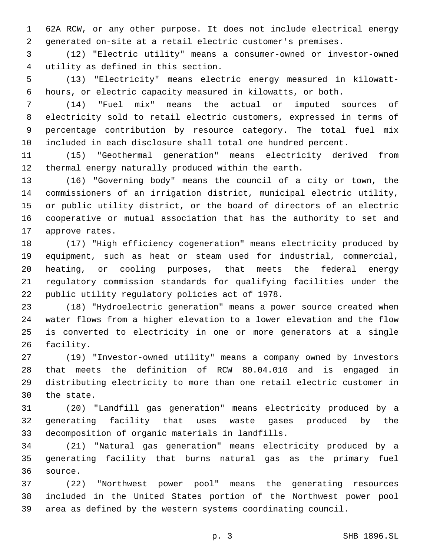62A RCW, or any other purpose. It does not include electrical energy generated on-site at a retail electric customer's premises.

 (12) "Electric utility" means a consumer-owned or investor-owned utility as defined in this section.4

 (13) "Electricity" means electric energy measured in kilowatt-hours, or electric capacity measured in kilowatts, or both.

 (14) "Fuel mix" means the actual or imputed sources of electricity sold to retail electric customers, expressed in terms of percentage contribution by resource category. The total fuel mix included in each disclosure shall total one hundred percent.

 (15) "Geothermal generation" means electricity derived from thermal energy naturally produced within the earth.

 (16) "Governing body" means the council of a city or town, the commissioners of an irrigation district, municipal electric utility, or public utility district, or the board of directors of an electric cooperative or mutual association that has the authority to set and 17 approve rates.

 (17) "High efficiency cogeneration" means electricity produced by equipment, such as heat or steam used for industrial, commercial, heating, or cooling purposes, that meets the federal energy regulatory commission standards for qualifying facilities under the 22 public utility regulatory policies act of 1978.

 (18) "Hydroelectric generation" means a power source created when water flows from a higher elevation to a lower elevation and the flow is converted to electricity in one or more generators at a single 26 facility.

 (19) "Investor-owned utility" means a company owned by investors that meets the definition of RCW 80.04.010 and is engaged in distributing electricity to more than one retail electric customer in 30 the state.

 (20) "Landfill gas generation" means electricity produced by a generating facility that uses waste gases produced by the 33 decomposition of organic materials in landfills.

 (21) "Natural gas generation" means electricity produced by a generating facility that burns natural gas as the primary fuel 36 source.

 (22) "Northwest power pool" means the generating resources included in the United States portion of the Northwest power pool area as defined by the western systems coordinating council.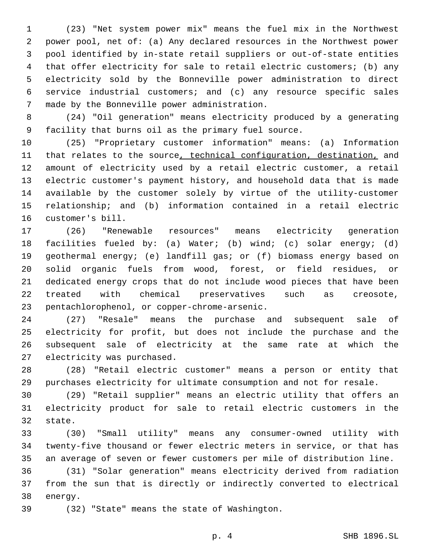(23) "Net system power mix" means the fuel mix in the Northwest power pool, net of: (a) Any declared resources in the Northwest power pool identified by in-state retail suppliers or out-of-state entities that offer electricity for sale to retail electric customers; (b) any electricity sold by the Bonneville power administration to direct service industrial customers; and (c) any resource specific sales 7 made by the Bonneville power administration.

 (24) "Oil generation" means electricity produced by a generating facility that burns oil as the primary fuel source.

 (25) "Proprietary customer information" means: (a) Information 11 that relates to the source, technical configuration, destination, and amount of electricity used by a retail electric customer, a retail electric customer's payment history, and household data that is made available by the customer solely by virtue of the utility-customer relationship; and (b) information contained in a retail electric 16 customer's bill.

 (26) "Renewable resources" means electricity generation facilities fueled by: (a) Water; (b) wind; (c) solar energy; (d) geothermal energy; (e) landfill gas; or (f) biomass energy based on solid organic fuels from wood, forest, or field residues, or dedicated energy crops that do not include wood pieces that have been treated with chemical preservatives such as creosote, 23 pentachlorophenol, or copper-chrome-arsenic.

 (27) "Resale" means the purchase and subsequent sale of electricity for profit, but does not include the purchase and the subsequent sale of electricity at the same rate at which the 27 electricity was purchased.

 (28) "Retail electric customer" means a person or entity that purchases electricity for ultimate consumption and not for resale.

 (29) "Retail supplier" means an electric utility that offers an electricity product for sale to retail electric customers in the 32 state.

 (30) "Small utility" means any consumer-owned utility with twenty-five thousand or fewer electric meters in service, or that has an average of seven or fewer customers per mile of distribution line.

 (31) "Solar generation" means electricity derived from radiation from the sun that is directly or indirectly converted to electrical 38 energy.

(32) "State" means the state of Washington.39

p. 4 SHB 1896.SL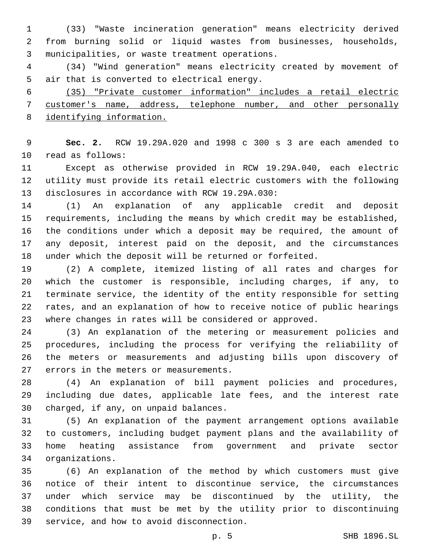(33) "Waste incineration generation" means electricity derived from burning solid or liquid wastes from businesses, households, municipalities, or waste treatment operations.3

 (34) "Wind generation" means electricity created by movement of 5 air that is converted to electrical energy.

 (35) "Private customer information" includes a retail electric customer's name, address, telephone number, and other personally identifying information.

 **Sec. 2.** RCW 19.29A.020 and 1998 c 300 s 3 are each amended to 10 read as follows:

 Except as otherwise provided in RCW 19.29A.040, each electric utility must provide its retail electric customers with the following 13 disclosures in accordance with RCW 19.29A.030:

 (1) An explanation of any applicable credit and deposit requirements, including the means by which credit may be established, the conditions under which a deposit may be required, the amount of any deposit, interest paid on the deposit, and the circumstances under which the deposit will be returned or forfeited.

 (2) A complete, itemized listing of all rates and charges for which the customer is responsible, including charges, if any, to terminate service, the identity of the entity responsible for setting rates, and an explanation of how to receive notice of public hearings where changes in rates will be considered or approved.

 (3) An explanation of the metering or measurement policies and procedures, including the process for verifying the reliability of the meters or measurements and adjusting bills upon discovery of 27 errors in the meters or measurements.

 (4) An explanation of bill payment policies and procedures, including due dates, applicable late fees, and the interest rate 30 charged, if any, on unpaid balances.

 (5) An explanation of the payment arrangement options available to customers, including budget payment plans and the availability of home heating assistance from government and private sector organizations.34

 (6) An explanation of the method by which customers must give notice of their intent to discontinue service, the circumstances under which service may be discontinued by the utility, the conditions that must be met by the utility prior to discontinuing 39 service, and how to avoid disconnection.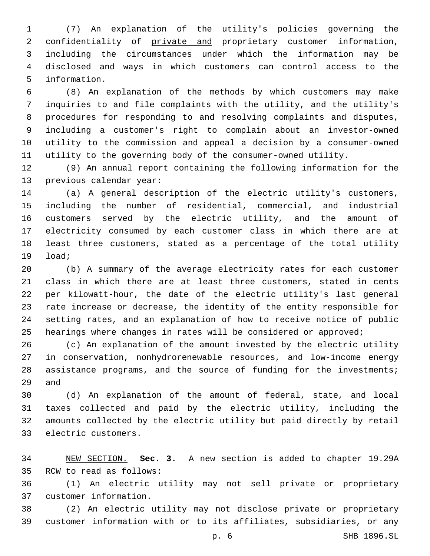(7) An explanation of the utility's policies governing the confidentiality of private and proprietary customer information, including the circumstances under which the information may be disclosed and ways in which customers can control access to the 5 information.

 (8) An explanation of the methods by which customers may make inquiries to and file complaints with the utility, and the utility's procedures for responding to and resolving complaints and disputes, including a customer's right to complain about an investor-owned utility to the commission and appeal a decision by a consumer-owned utility to the governing body of the consumer-owned utility.

 (9) An annual report containing the following information for the 13 previous calendar year:

 (a) A general description of the electric utility's customers, including the number of residential, commercial, and industrial customers served by the electric utility, and the amount of electricity consumed by each customer class in which there are at least three customers, stated as a percentage of the total utility 19 load;

 (b) A summary of the average electricity rates for each customer class in which there are at least three customers, stated in cents per kilowatt-hour, the date of the electric utility's last general rate increase or decrease, the identity of the entity responsible for setting rates, and an explanation of how to receive notice of public hearings where changes in rates will be considered or approved;

 (c) An explanation of the amount invested by the electric utility in conservation, nonhydrorenewable resources, and low-income energy assistance programs, and the source of funding for the investments; 29 and

 (d) An explanation of the amount of federal, state, and local taxes collected and paid by the electric utility, including the amounts collected by the electric utility but paid directly by retail 33 electric customers.

 NEW SECTION. **Sec. 3.** A new section is added to chapter 19.29A 35 RCW to read as follows:

 (1) An electric utility may not sell private or proprietary customer information.37

 (2) An electric utility may not disclose private or proprietary customer information with or to its affiliates, subsidiaries, or any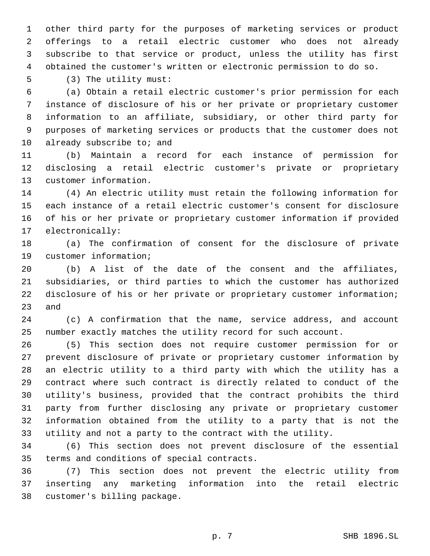other third party for the purposes of marketing services or product offerings to a retail electric customer who does not already subscribe to that service or product, unless the utility has first obtained the customer's written or electronic permission to do so.

5 (3) The utility must:

 (a) Obtain a retail electric customer's prior permission for each instance of disclosure of his or her private or proprietary customer information to an affiliate, subsidiary, or other third party for purposes of marketing services or products that the customer does not 10 already subscribe to; and

 (b) Maintain a record for each instance of permission for disclosing a retail electric customer's private or proprietary 13 customer information.

 (4) An electric utility must retain the following information for each instance of a retail electric customer's consent for disclosure of his or her private or proprietary customer information if provided 17 electronically:

 (a) The confirmation of consent for the disclosure of private 19 customer information;

 (b) A list of the date of the consent and the affiliates, subsidiaries, or third parties to which the customer has authorized disclosure of his or her private or proprietary customer information; 23 and

 (c) A confirmation that the name, service address, and account number exactly matches the utility record for such account.

 (5) This section does not require customer permission for or prevent disclosure of private or proprietary customer information by an electric utility to a third party with which the utility has a contract where such contract is directly related to conduct of the utility's business, provided that the contract prohibits the third party from further disclosing any private or proprietary customer information obtained from the utility to a party that is not the utility and not a party to the contract with the utility.

 (6) This section does not prevent disclosure of the essential 35 terms and conditions of special contracts.

 (7) This section does not prevent the electric utility from inserting any marketing information into the retail electric 38 customer's billing package.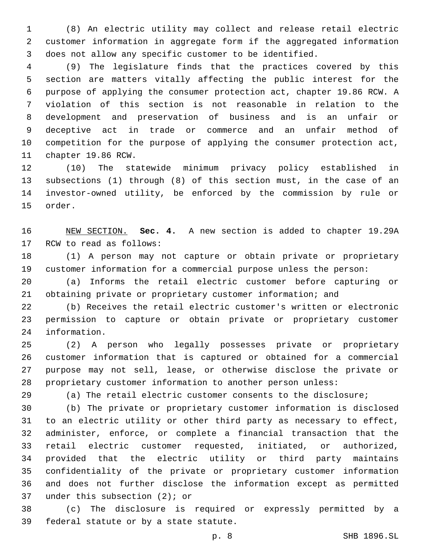(8) An electric utility may collect and release retail electric customer information in aggregate form if the aggregated information does not allow any specific customer to be identified.

 (9) The legislature finds that the practices covered by this section are matters vitally affecting the public interest for the purpose of applying the consumer protection act, chapter 19.86 RCW. A violation of this section is not reasonable in relation to the development and preservation of business and is an unfair or deceptive act in trade or commerce and an unfair method of competition for the purpose of applying the consumer protection act, 11 chapter 19.86 RCW.

 (10) The statewide minimum privacy policy established in subsections (1) through (8) of this section must, in the case of an investor-owned utility, be enforced by the commission by rule or 15 order.

 NEW SECTION. **Sec. 4.** A new section is added to chapter 19.29A 17 RCW to read as follows:

 (1) A person may not capture or obtain private or proprietary customer information for a commercial purpose unless the person:

 (a) Informs the retail electric customer before capturing or obtaining private or proprietary customer information; and

 (b) Receives the retail electric customer's written or electronic permission to capture or obtain private or proprietary customer 24 information.

 (2) A person who legally possesses private or proprietary customer information that is captured or obtained for a commercial purpose may not sell, lease, or otherwise disclose the private or proprietary customer information to another person unless:

(a) The retail electric customer consents to the disclosure;

 (b) The private or proprietary customer information is disclosed to an electric utility or other third party as necessary to effect, administer, enforce, or complete a financial transaction that the retail electric customer requested, initiated, or authorized, provided that the electric utility or third party maintains confidentiality of the private or proprietary customer information and does not further disclose the information except as permitted 37 under this subsection  $(2)$ ; or

 (c) The disclosure is required or expressly permitted by a 39 federal statute or by a state statute.